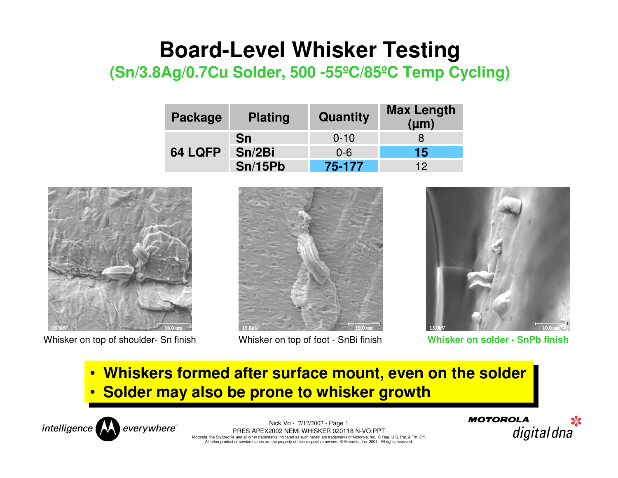## **Board-Level Whisker Testing**

## **(Sn/3.8Ag/0.7Cu Solder, 500 -55ºC/85ºC Temp Cycling)**

| Package | <b>Plating</b> | Quantity | <b>Max Length</b><br>$(\mu m)$ |
|---------|----------------|----------|--------------------------------|
| 64 LQFP | <b>Sn</b>      | $0 - 10$ |                                |
|         | Sn/2Bi         | $0 - 6$  | 15                             |
|         | <b>Sn/15Pb</b> | 75-177   | 12                             |



Whisker on top of shoulder- Sn finish Whisker on top of foot - SnBi finish **Whisker on solder - SnPb finish**





• Whiskers formed after surface mount, even on the solder • **Solder may also be prone to whisker growth**•



Nick Vo - 7/12/2007 - Page 1 PRES APEX2002 NEMI WHISKER 020118 N-VO.PPT Motorola, the Stylized M, and all other trademarks indicated as such herein are trademarks of Motorola, Inc. ® Reg. U.S. Pat. & Tm. Off. All other product or service names are the property of their respective owners. © Motorola, Inc. 2001. All rights reserved.

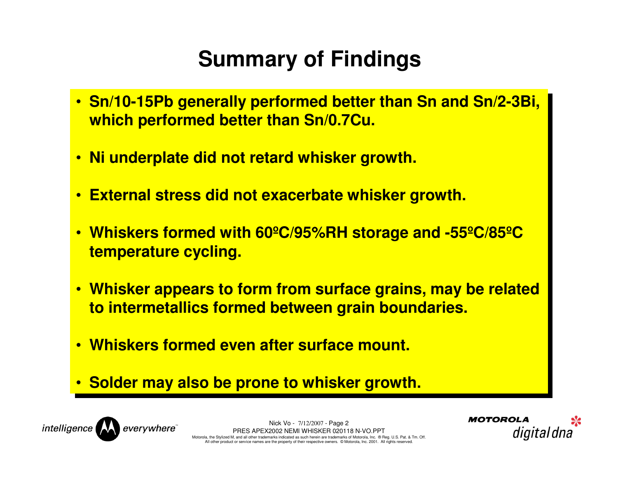## **Summary of Findings**

- **Sn/10-15Pb generally performed better than Sn and Sn/2-3Bi, Sn/10-15Pb generally performed better than Sn and Sn/2-3Bi, which performed better than Sn/0.7Cu.which performed better than Sn/0.7Cu.**
- **Ni underplate did not retard whisker growth. Ni underplate did not retard whisker growth.**
- **External stress did not exacerbate whisker growth. External stress did not exacerbate whisker growth.**
- **Whiskers formed with 60ºC/95%RH storage and -55ºC/85ºC Whiskers formed with 60ºC/95%RH storage and -55ºC/85ºC temperature cycling.temperature cycling.**
- **Whisker appears to form from surface grains, may be related Whisker appears to form from surface grains, may be related to intermetallics formed between grain boundaries.to intermetallics formed between grain boundaries.**
- **Whiskers formed even after surface mount. Whiskers formed even after surface mount.**
- **Solder may also be prone to whisker growth. Solder may also be prone to whisker growth.**



Nick Vo - 7/12/2007 - Page 2 PRES APEX2002 NEMI WHISKER 020118 N-VO.PPT Motorola, the Stylized M, and all other trademarks indicated as such herein are trademarks of Motorola, Inc. ® Reg. U.S. Pat. & Tm. Off. All other product or service names are the property of their respective owners. © Motorola, Inc. 2001. All rights reserved.